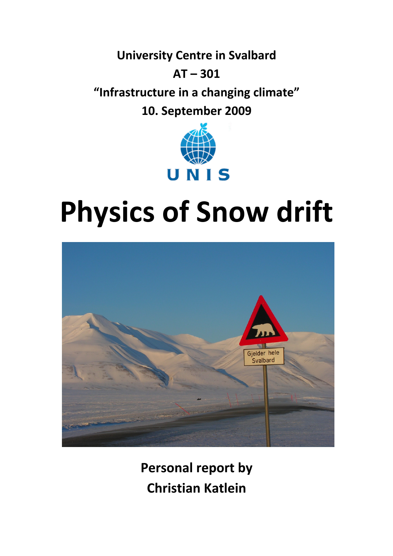**University Centre in Svalbard AT – 301 "Infrastructure in a changing climate" 10. September 2009**



# **Physics of Snow drift**



**Personal report by Christian Katlein**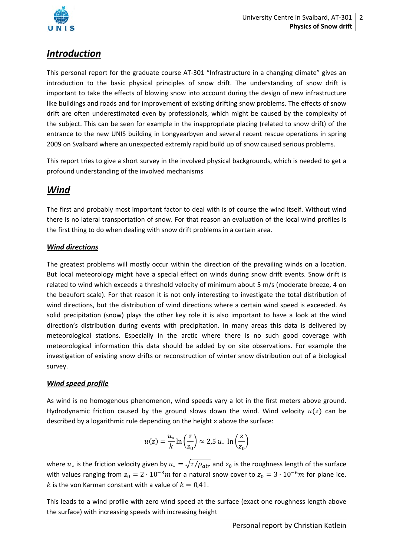

# *Introduction*

This personal report for the graduate course AT‐301 "Infrastructure in a changing climate" gives an introduction to the basic physical principles of snow drift. The understanding of snow drift is important to take the effects of blowing snow into account during the design of new infrastructure like buildings and roads and for improvement of existing drifting snow problems. The effects of snow drift are often underestimated even by professionals, which might be caused by the complexity of the subject. This can be seen for example in the inappropriate placing (related to snow drift) of the entrance to the new UNIS building in Longyearbyen and several recent rescue operations in spring 2009 on Svalbard where an unexpected extremly rapid build up of snow caused serious problems.

This report tries to give a short survey in the involved physical backgrounds, which is needed to get a profound understanding of the involved mechanisms

## *Wind*

The first and probably most important factor to deal with is of course the wind itself. Without wind there is no lateral transportation of snow. For that reason an evaluation of the local wind profiles is the first thing to do when dealing with snow drift problems in a certain area.

### *Wind directions*

The greatest problems will mostly occur within the direction of the prevailing winds on a location. But local meteorology might have a special effect on winds during snow drift events. Snow drift is related to wind which exceeds a threshold velocity of minimum about 5 m/s (moderate breeze, 4 on the beaufort scale). For that reason it is not only interesting to investigate the total distribution of wind directions, but the distribution of wind directions where a certain wind speed is exceeded. As solid precipitation (snow) plays the other key role it is also important to have a look at the wind direction's distribution during events with precipitation. In many areas this data is delivered by meteorological stations. Especially in the arctic where there is no such good coverage with meteorological information this data should be added by on site observations. For example the investigation of existing snow drifts or reconstruction of winter snow distribution out of a biological survey.

#### *Wind speed profile*

As wind is no homogenous phenomenon, wind speeds vary a lot in the first meters above ground. Hydrodynamic friction caused by the ground slows down the wind. Wind velocity  $u(z)$  can be described by a logarithmic rule depending on the height  $z$  above the surface:

$$
u(z) = \frac{u_*}{k} \ln\left(\frac{z}{z_0}\right) \approx 2.5 u_* \ln\left(\frac{z}{z_0}\right)
$$

where  $u_*$  is the friction velocity given by  $u_* = \sqrt{\tau/\rho_{air}}$  and  $z_0$  is the roughness length of the surface with values ranging from  $z_0 = 2 \cdot 10^{-3} m$  for a natural snow cover to  $z_0 = 3 \cdot 10^{-6} m$  for plane ice. k is the von Karman constant with a value of  $k = 0.41$ .

This leads to a wind profile with zero wind speed at the surface (exact one roughness length above the surface) with increasing speeds with increasing height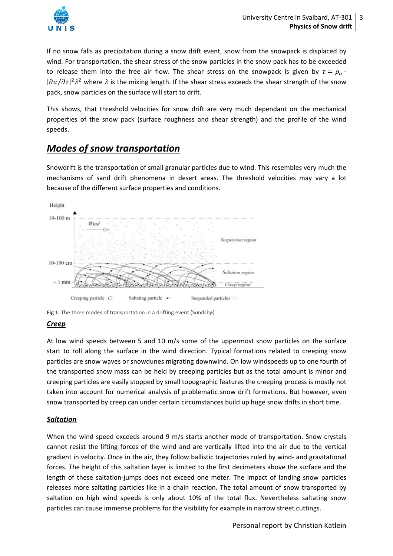

If no snow falls as precipitation during a snow drift event, snow from the snowpack is displaced by wind. For transportation, the shear stress of the snow particles in the snow pack has to be exceeded to release them into the free air flow. The shear stress on the snowpack is given by  $\tau = \rho_a$ .  $|\partial u/\partial z|^2 \lambda^2$  where  $\lambda$  is the mixing length. If the shear stress exceeds the shear strength of the snow pack, snow particles on the surface will start to drift.

This shows, that threshold velocities for snow drift are very much dependant on the mechanical properties of the snow pack (surface roughness and shear strength) and the profile of the wind speeds.

## *Modes of snow transportation*

Snowdrift is the transportation of small granular particles due to wind. This resembles very much the mechanisms of sand drift phenomena in desert areas. The threshold velocities may vary a lot because of the different surface properties and conditions.



**Fig 1:** The three modes of transportation in a drifting event (Sundsbø)

## *Creep*

At low wind speeds between 5 and 10 m/s some of the uppermost snow particles on the surface start to roll along the surface in the wind direction. Typical formations related to creeping snow particles are snow waves or snowdunes migrating downwind. On low windspeeds up to one fourth of the transported snow mass can be held by creeping particles but as the total amount is minor and creeping particles are easily stopped by small topographic features the creeping process is mostly not taken into account for numerical analysis of problematic snow drift formations. But however, even snow transported by creep can under certain circumstances build up huge snow drifts in short time.

## *Saltation*

When the wind speed exceeds around 9 m/s starts another mode of transportation. Snow crystals cannot resist the lifting forces of the wind and are vertically lifted into the air due to the vertical gradient in velocity. Once in the air, they follow ballistic trajectories ruled by wind- and gravitational forces. The height of this saltation layer is limited to the first decimeters above the surface and the length of these saltation‐jumps does not exceed one meter. The impact of landing snow particles releases more saltating particles like in a chain reaction. The total amount of snow transported by saltation on high wind speeds is only about 10% of the total flux. Nevertheless saltating snow particles can cause immense problems for the visibility for example in narrow street cuttings.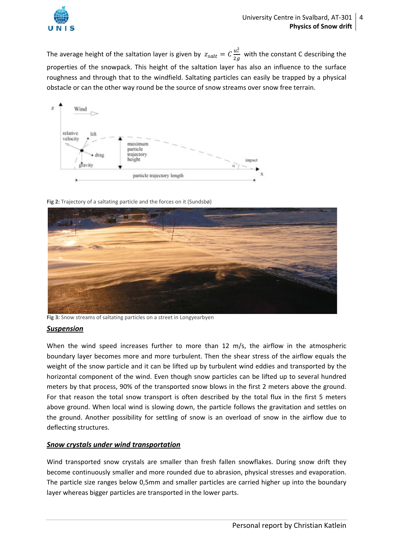

The average height of the saltation layer is given by  $z_{salt} = C \frac{u_*^2}{2g}$  with the constant C describing the properties of the snowpack. This height of the saltation layer has also an influence to the surface roughness and through that to the windfield. Saltating particles can easily be trapped by a physical obstacle or can the other way round be the source of snow streams over snow free terrain.



**Fig 2:** Trajectory of a saltating particle and the forces on it (Sundsbø)



**Fig 3:** Snow streams of saltating particles on a street in Longyearbyen

#### *Suspension*

When the wind speed increases further to more than 12 m/s, the airflow in the atmospheric boundary layer becomes more and more turbulent. Then the shear stress of the airflow equals the weight of the snow particle and it can be lifted up by turbulent wind eddies and transported by the horizontal component of the wind. Even though snow particles can be lifted up to several hundred meters by that process, 90% of the transported snow blows in the first 2 meters above the ground. For that reason the total snow transport is often described by the total flux in the first 5 meters above ground. When local wind is slowing down, the particle follows the gravitation and settles on the ground. Another possibility for settling of snow is an overload of snow in the airflow due to deflecting structures.

#### *Snow crystals under wind transportation*

Wind transported snow crystals are smaller than fresh fallen snowflakes. During snow drift they become continuously smaller and more rounded due to abrasion, physical stresses and evaporation. The particle size ranges below 0,5mm and smaller particles are carried higher up into the boundary layer whereas bigger particles are transported in the lower parts.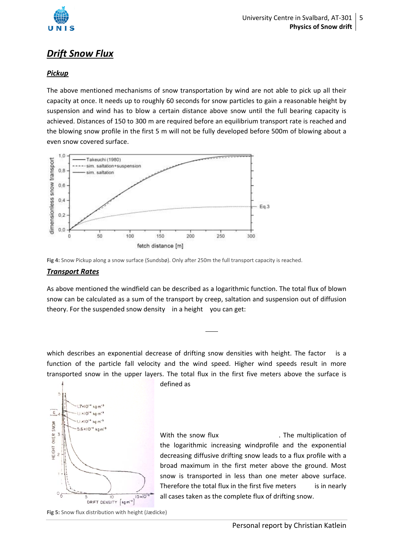

# *Drift S Snow Flu ux*

#### *Pickup*

The above mentioned mechanisms of snow transportation by wind are not able to pick up all their capacity at once. It needs up to roughly 60 seconds for snow particles to gain a reasonable height by suspension and wind has to blow a certain distance above snow until the full bearing capacity is achieved. Distances of 150 to 300 m are required before an equilibrium transport rate is reached and the blowing snow profile in the first 5 m will not be fully developed before 500m of blowing about a even snow covered surface.





#### **Transport Rates**

As above mentioned the windfield can be described as a logarithmic function. The total flux of blown snow can be calculated as a sum of the transport by creep, saltation and suspension out of diffusion theory. For the suspended snow density in a height you can get:

which describes an exponential decrease of drifting snow densities with height. The fact function of the particle fall velocity and the wind speed. Higher wind speeds result in more transported snow in the upper layers. The total flux in the first five meters above the surface is is a



define ed as

With the snow flux the logarithmic increasing windprofile and the exponential decreasing diffusive drifting snow leads to a flux profile with a broad maximum in the first meter above the ground. Most snow is transported in less than one meter above surface. Therefore the total flux in the first five meters is all cases taken as the complete flux of drifting snow. . T The multipli cation of is in nearly

Fig 5: Snow flux distribution with height (Jædicke)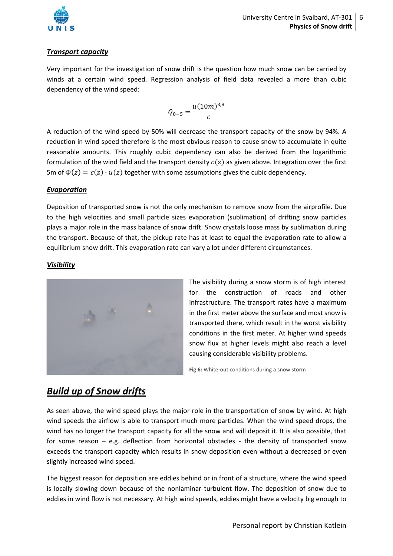

#### *Transport capacity*

Very important for the investigation of snow drift is the question how much snow can be carried by winds at a certain wind speed. Regression analysis of field data revealed a more than cubic dependency of the wind speed:

$$
Q_{0-5} = \frac{u(10m)^{3,8}}{c}
$$

A reduction of the wind speed by 50% will decrease the transport capacity of the snow by 94%. A reduction in wind speed therefore is the most obvious reason to cause snow to accumulate in quite reasonable amounts. This roughly cubic dependency can also be derived from the logarithmic formulation of the wind field and the transport density  $c(z)$  as given above. Integration over the first 5m of  $\Phi(z) = c(z) \cdot u(z)$  together with some assumptions gives the cubic dependency.

#### *Evaporation*

Deposition of transported snow is not the only mechanism to remove snow from the airprofile. Due to the high velocities and small particle sizes evaporation (sublimation) of drifting snow particles plays a major role in the mass balance of snow drift. Snow crystals loose mass by sublimation during the transport. Because of that, the pickup rate has at least to equal the evaporation rate to allow a equilibrium snow drift. This evaporation rate can vary a lot under different circumstances.

#### *Visibility*



The visibility during a snow storm is of high interest for the construction of roads and other infrastructure. The transport rates have a maximum in the first meter above the surface and most snow is transported there, which result in the worst visibility conditions in the first meter. At higher wind speeds snow flux at higher levels might also reach a level causing considerable visibility problems.

Fig 6: White-out conditions during a snow storm

## *Build up of Snow drifts*

As seen above, the wind speed plays the major role in the transportation of snow by wind. At high wind speeds the airflow is able to transport much more particles. When the wind speed drops, the wind has no longer the transport capacity for all the snow and will deposit it. It is also possible, that for some reason – e.g. deflection from horizontal obstacles - the density of transported snow exceeds the transport capacity which results in snow deposition even without a decreased or even slightly increased wind speed.

The biggest reason for deposition are eddies behind or in front of a structure, where the wind speed is locally slowing down because of the nonlaminar turbulent flow. The deposition of snow due to eddies in wind flow is not necessary. At high wind speeds, eddies might have a velocity big enough to